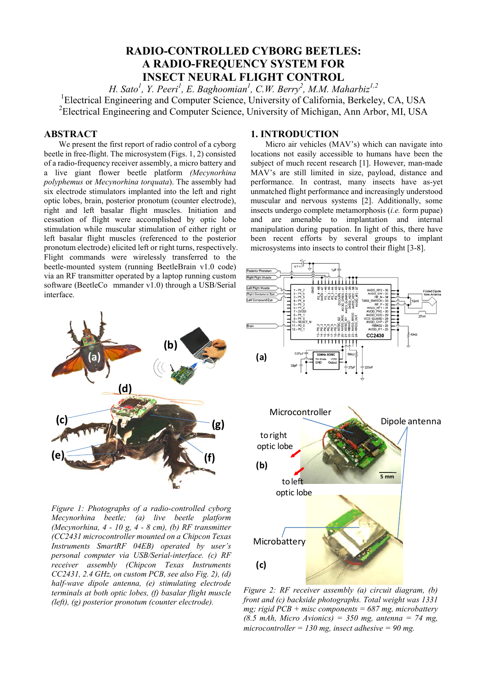# **RADIO-CONTROLLED CYBORG BEETLES: A RADIO-FREQUENCY SYSTEM FOR INSECT NEURAL FLIGHT CONTROL**

*H. Sato<sup>1</sup>, Y. Peeri<sup>1</sup>, E. Baghoomian<sup>1</sup>, C.W. Berry<sup>2</sup>, M.M. Maharbiz<sup>1,2</sup>* <sup>1</sup>Electrical Engineering and Computer Science, University of California, Berkeley, CA, USA <sup>2</sup>Electrical Engineering and Computer Science, University of Michigan, Ann Arbor, MI, USA

## **ABSTRACT**

We present the first report of radio control of a cyborg beetle in free-flight. The microsystem (Figs. 1, 2) consisted of a radio-frequency receiver assembly, a micro battery and a live giant flower beetle platform *(Mecynorhina polyphemus* or *Mecynorhina torquata*). The assembly had six electrode stimulators implanted into the left and right optic lobes, brain, posterior pronotum (counter electrode), right and left basalar flight muscles. Initiation and cessation of flight were accomplished by optic lobe stimulation while muscular stimulation of either right or left basalar flight muscles (referenced to the posterior pronotum electrode) elicited left or right turns, respectively. Flight commands were wirelessly transferred to the beetle-mounted system (running BeetleBrain v1.0 code) via an RF transmitter operated by a laptop running custom software (BeetleCo mmander v1.0) through a USB/Serial interface.



*Figure 1: Photographs of a radio-controlled cyborg Mecynorhina beetle; (a) live beetle platform (Mecynorhina, 4 - 10 g, 4 - 8 cm), (b) RF transmitter (CC2431 microcontroller mounted on a Chipcon Texas Instruments SmartRF 04EB) operated by user's personal computer via USB/Serial-interface. (c) RF receiver assembly (Chipcon Texas Instruments CC2431, 2.4 GHz, on custom PCB, see also Fig. 2), (d) half-wave dipole antenna, (e) stimulating electrode terminals at both optic lobes, (f) basalar flight muscle (left), (g) posterior pronotum (counter electrode).* 

## **1. INTRODUCTION**

Micro air vehicles (MAV's) which can navigate into locations not easily accessible to humans have been the subject of much recent research [1]. However, man-made MAV's are still limited in size, payload, distance and performance. In contrast, many insects have as-yet unmatched flight performance and increasingly understood muscular and nervous systems [2]. Additionally, some insects undergo complete metamorphosis (*i.e.* form pupae) and are amenable to implantation and internal manipulation during pupation. In light of this, there have been recent efforts by several groups to implant microsystems into insects to control their flight [3-8].



*Figure 2: RF receiver assembly (a) circuit diagram, (b) front and (c) backside photographs. Total weight was 1331 mg; rigid PCB + misc components = 687 mg, microbattery (8.5 mAh, Micro Avionics) = 350 mg, antenna = 74 mg, microcontroller = 130 mg, insect adhesive = 90 mg.*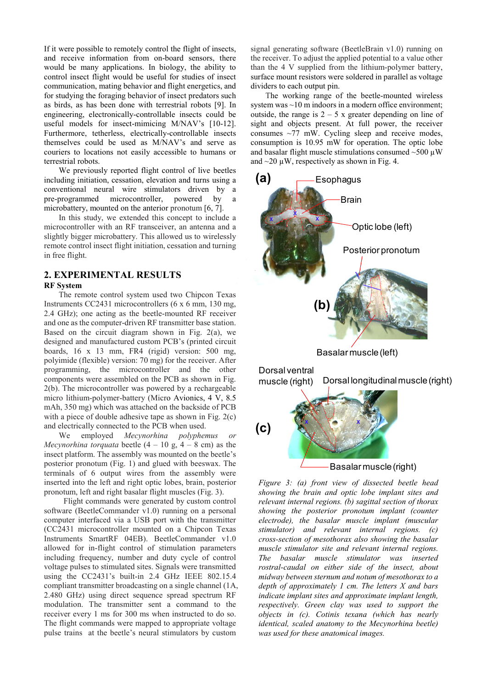If it were possible to remotely control the flight of insects, and receive information from on-board sensors, there would be many applications. In biology, the ability to control insect flight would be useful for studies of insect communication, mating behavior and flight energetics, and for studying the foraging behavior of insect predators such as birds, as has been done with terrestrial robots [9]. In engineering, electronically-controllable insects could be useful models for insect-mimicing M/NAV's [10-12]. Furthermore, tetherless, electrically-controllable insects themselves could be used as M/NAV's and serve as couriers to locations not easily accessible to humans or terrestrial robots.

We previously reported flight control of live beetles including initiation, cessation, elevation and turns using a conventional neural wire stimulators driven by a pre-programmed microcontroller, powered by a microbattery, mounted on the anterior pronotum [6, 7].

In this study, we extended this concept to include a microcontroller with an RF transceiver, an antenna and a slightly bigger microbattery. This allowed us to wirelessly remote control insect flight initiation, cessation and turning in free flight.

## **2. EXPERIMENTAL RESULTS**

#### **RF System**

The remote control system used two Chipcon Texas Instruments CC2431 microcontrollers (6 x 6 mm, 130 mg, 2.4 GHz); one acting as the beetle-mounted RF receiver and one as the computer-driven RF transmitter base station. Based on the circuit diagram shown in Fig.  $2(a)$ , we designed and manufactured custom PCB's (printed circuit boards, 16 x 13 mm, FR4 (rigid) version: 500 mg, polyimide (flexible) version: 70 mg) for the receiver. After programming, the microcontroller and the other components were assembled on the PCB as shown in Fig. 2(b). The microcontroller was powered by a rechargeable micro lithium-polymer-battery (Micro Avionics, 4 V, 8.5 mAh, 350 mg) which was attached on the backside of PCB with a piece of double adhesive tape as shown in Fig. 2(c) and electrically connected to the PCB when used.

We employed *Mecynorhina polyphemus or Mecynorhina torquata* beetle  $(4 - 10 \text{ g}, 4 - 8 \text{ cm})$  as the insect platform. The assembly was mounted on the beetle's posterior pronotum (Fig. 1) and glued with beeswax. The terminals of 6 output wires from the assembly were inserted into the left and right optic lobes, brain, posterior pronotum, left and right basalar flight muscles (Fig. 3).

Flight commands were generated by custom control software (BeetleCommander v1.0) running on a personal computer interfaced via a USB port with the transmitter (CC2431 microcontroller mounted on a Chipcon Texas Instruments SmartRF 04EB). BeetleCommander v1.0 allowed for in-flight control of stimulation parameters including frequency, number and duty cycle of control voltage pulses to stimulated sites. Signals were transmitted using the CC2431's built-in 2.4 GHz IEEE 802.15.4 compliant transmitter broadcasting on a single channel (1A, 2.480 GHz) using direct sequence spread spectrum RF modulation. The transmitter sent a command to the receiver every 1 ms for 300 ms when instructed to do so. The flight commands were mapped to appropriate voltage pulse trains at the beetle's neural stimulators by custom

signal generating software (BeetleBrain v1.0) running on the receiver. To adjust the applied potential to a value other than the 4 V supplied from the lithium-polymer battery, surface mount resistors were soldered in parallel as voltage dividers to each output pin.

The working range of the beetle-mounted wireless system was ~10 m indoors in a modern office environment; outside, the range is  $2 - 5x$  greater depending on line of sight and objects present. At full power, the receiver consumes ~77 mW. Cycling sleep and receive modes, consumption is 10.95 mW for operation. The optic lobe and basalar flight muscle stimulations consumed  $\sim$ 500  $\mu$ W and  $\sim$ 20  $\mu$ W, respectively as shown in Fig. 4.



*Figure 3: (a) front view of dissected beetle head showing the brain and optic lobe implant sites and relevant internal regions. (b) sagittal section of thorax showing the posterior pronotum implant (counter electrode), the basalar muscle implant (muscular stimulator) and relevant internal regions. (c) cross-section of mesothorax also showing the basalar muscle stimulator site and relevant internal regions. The basalar muscle stimulator was inserted rostral-caudal on either side of the insect, about midway between sternum and notum of mesothorax to a depth of approximately 1 cm. The letters X and bars indicate implant sites and approximate implant length, respectively. Green clay was used to support the objects in (c). Cotinis texana (which has nearly identical, scaled anatomy to the Mecynorhina beetle) was used for these anatomical images.*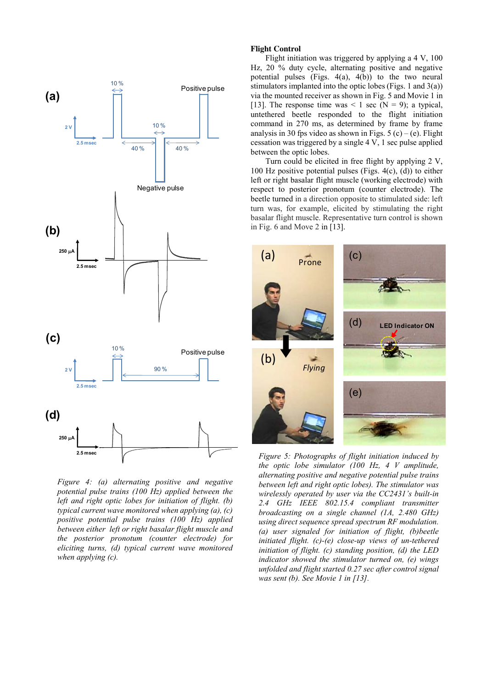

*Figure 4: (a) alternating positive and negative potential pulse trains (100 Hz) applied between the left and right optic lobes for initiation of flight. (b) typical current wave monitored when applying (a), (c) positive potential pulse trains (100 Hz) applied between either left or right basalar flight muscle and the posterior pronotum (counter electrode) for eliciting turns, (d) typical current wave monitored when applying (c).* 

#### **Flight Control**

Flight initiation was triggered by applying a 4 V, 100 Hz, 20 % duty cycle, alternating positive and negative potential pulses (Figs. 4(a), 4(b)) to the two neural stimulators implanted into the optic lobes (Figs. 1 and 3(a)) via the mounted receiver as shown in Fig. 5 and Movie 1 in [13]. The response time was  $\leq 1$  sec (N = 9); a typical, untethered beetle responded to the flight initiation command in 270 ms, as determined by frame by frame analysis in 30 fps video as shown in Figs.  $5(c) - (e)$ . Flight cessation was triggered by a single 4 V, 1 sec pulse applied between the optic lobes.

Turn could be elicited in free flight by applying 2 V, 100 Hz positive potential pulses (Figs.  $4(c)$ , (d)) to either left or right basalar flight muscle (working electrode) with respect to posterior pronotum (counter electrode). The beetle turned in a direction opposite to stimulated side: left turn was, for example, elicited by stimulating the right basalar flight muscle. Representative turn control is shown in Fig. 6 and Move 2 in [13].



*Figure 5: Photographs of flight initiation induced by the optic lobe simulator (100 Hz, 4 V amplitude, alternating positive and negative potential pulse trains between left and right optic lobes). The stimulator was wirelessly operated by user via the CC2431's built-in 2.4 GHz IEEE 802.15.4 compliant transmitter broadcasting on a single channel (1A, 2.480 GHz) using direct sequence spread spectrum RF modulation. (a) user signaled for initiation of flight, (b)beetle initiated flight. (c)-(e) close-up views of un-tethered initiation of flight. (c) standing position, (d) the LED indicator showed the stimulator turned on, (e) wings unfolded and flight started 0.27 sec after control signal was sent (b). See Movie 1 in [13].*